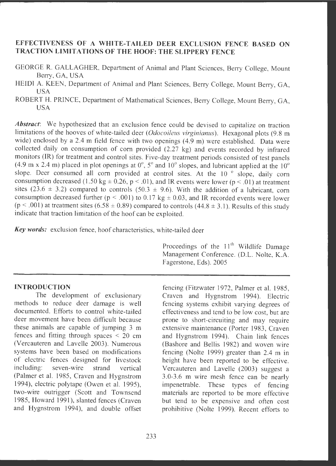# **EFFECTIVENESS OF A WHITE-TAILED DEER EXCLUSION FENCE BASED ON TRACTION LIMITATIONS OF THE HOOF: THE SLIPPERY FENCE**

- GEORGE R. GALLAGHER, Department of Animal and Plant Sciences, Berry College, Mount Berry, GA, USA
- HEIDI A. KEEN, Department of Animal and Plant Sciences, Berry College, Mount Berry, GA, USA
- ROBERT H. PRINCE, Department of Mathematical Sciences, Berry College, Mount Berry, GA, USA

Abstract: We hypothesized that an exclusion fence could be devised to capitalize on traction limitations of the hooves of white-tailed deer *(Odocoileus virginianus)*. Hexagonal plots (9.8 m wide) enclosed by a 2.4 m field fence with two openings (4.9 m) were established. Data were collected daily on consumption of com provided (2.27 kg) and events recorded by infrared monitors (IR) for treatment and control sites. Five-day treatment periods consisted of test panels  $(4.9 \text{ m} \times 2.4 \text{ m})$  placed in plot openings at  $0^\circ$ ,  $5^\circ$  and  $10^\circ$  slopes, and lubricant applied at the  $10^\circ$ slope. Deer consumed all corn provided at control sites. At the  $10^{-6}$  slope, daily corn consumption decreased (1.50 kg  $\pm$  0.26, p < .01), and IR events were lower (p < .01) at treatment sites (23.6  $\pm$  3.2) compared to controls (50.3  $\pm$  9.6). With the addition of a lubricant, corn consumption decreased further ( $p < .001$ ) to 0.17 kg  $\pm$  0.03, and IR recorded events were lower  $(p < .001)$  at treatment sites  $(6.58 \pm 0.89)$  compared to controls  $(44.8 \pm 3.1)$ . Results of this study indicate that traction limitation of the hoof can be exploited.

Key words: exclusion fence, hoof characteristics, white-tailed deer

### **INTRODUCTION**

The development of exclusionary methods to reduce deer damage is well documented. Efforts to control white-tailed deer movement have been difficult because these animals are capable of jumping 3 m fences and fitting through spaces  $\leq$  20 cm (Vercauteren and Lavelle 2003) . Numerous systems have been based on modifications of electric fences designed for livestock including: seven -wire strand vertical (Palmer et al. 1985, Craven and Hygnstrom 1994), electric polytape (Owen et al. 1995), two-wire outrigger (Scott and Townsend 1985, Howard 1991), slanted fences (Craven and Hygnstrom 1994), and double offset Proceedings of the  $11<sup>th</sup>$  Wildlife Damage Management Conference. (D.L. Nolte, K.A. Fagerstone, Eds). 2005

fencing (Fitzwater 1972, Palmer et al. 1985, Craven and Hygnstrom 1994). Electric fencing systems exhibit varying degrees of effectiveness and tend to be low cost, but are prone to short-circuiting and may require extensive maintenance (Porter 1983, Craven and Hygnstrom 1994). Chain link fences (Bashore and Bellis 1982) and woven wire fencing (Nolte 1999) greater than 2.4 m in height have been reported to be effective. Vercauteren and Lavelle (2003) suggest a 3.0-3.6 m wire mesh fence can be nearly impenetrable. These types of fencing materials are reported to be more effective but tend to be expensive and often cost prohibitive (Nolte 1999). Recent efforts to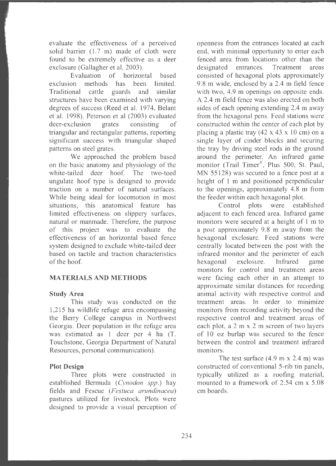evaluate the effectiveness of a perceived solid barrier (1.7 m) made of cloth were found to be extremely effective as a deer exclosure (Gallagher et al. 2003).

Evaluation of horizontal based exclusion methods has been limited. Traditional cattle guards and similar structures have been examined with varying degrees of success (Reed et al. 1974, Belant et al. 1998). Peterson et al (2003) evaluated deer-exclusion grates consisting of triangular and rectangular patterns, reporting significant success with triangular shaped patterns on steel grates.

We approached the problem based on the basic anatomy and physiology of the white-tailed deer hoof. The two-toed ungulate hoof type is designed to provide traction on a number of natural surfaces. While being ideal for iocomotion in most situations, this anatomical feature has limited effectiveness on slippery surfaces, natural or manmade. Therefore, the purpose of this project was to evaluate the effectiveness of an horizontal based fence system designed to exclude white-tailed deer based on tactile and traction characteristics of the hoof.

### **MATERIALS AND METHODS**

#### **Study Area**

This study was conducted on the 1,215 ha wildlife refuge area encompassing the Berry College campus in Northwest Georgia. Deer population in the refuge area was estimated as  $1$  deer per 4 ha  $(T.$ Touchstone, Georgia Department of Natural Resources, personal communication).

#### **Plot Design**

Three plots were constructed in established Bermuda *(Cynodon spp.)* hay fields and Fescue *(Festuca arundinacea)*  pastures utilized for livestock. Plots were designed to provide a visual perception of openness from the entrances located at each end, with minimal opportunity to enter each fenced area from locations other than the designated entrances. Treatment areas consisted of hexagonal plots approximately 9.8 m wide, enclosed by a 2.4 m field fence with two, 4.9 m openings on opposite ends. A 2.4 m field fence was also erected on both sides of each opening extending 2.4 m away from the hexagonal pens. Feed stations were constructed within the center of each plot by placing a plastic tray  $(42 \times 43 \times 10 \text{ cm})$  on a single layer of cinder blocks and securing the tray by driving steel rods in the ground around the perimeter. An infrared game monitor (Trail Timer®, Plus 500, St. Paul, MN 55128) was secured to a fence post at a height of 1 m and positioned perpendicular to the openings, approximately 4.8 m from the feeder within each hexagonal plot.

Control plots were established adjacent to each fenced area. Infrared game monitors were secured at a height of l m to a post approximately 9.8 m away from the hexagonal exclosure. Feed stations were centrally located between the post with the infrared monitor and the perimeter of each hexagonal exclosure. Infrared game monitors for control and treatment areas were facing each other in an attempt to approximate similar distances for recording animal activity with respective control and treatment areas. In order to minimize monitors from recording activity beyond the respective control and treatment areas of each plot, a 2 m x 2 m screen of two layers of 10 oz burlap was secured to the fence between the control and treatment infrared monitors.

The test surface  $(4.9 \text{ m} \times 2.4 \text{ m})$  was constructed of conventional 5-rib tin panels, typically utilized as a roofing material, mounted to a framework of 2.54 cm x 5.08 cm boards.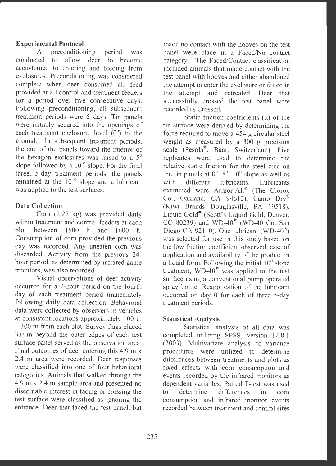### **Experimental Protocol**

A preconditioning period was conducted to allow deer to become accustomed to entering and feeding from exclosures. Preconditioning was considered complete when deer consumed all feed provided at all control and treatment feeders for a period over five consecutive days. Following preconditioning, all subsequent treatment periods were 5 days. Tin panels were initially secured into the openings of each treatment enclosure, level  $(0^{\circ})$  to the ground. In subsequent treatment periods, the end of the panels toward the interior of the hexagon exclosures was raised to a 5° slope followed by a  $10<sup>o</sup>$  slope. For the final three, 5-day treatment periods, the panels remained at the 10<sup>°</sup> slope and a lubricant was applied to the test surfaces.

## **Data Collection**

Corn (2.27 kg) was provided daily within treatment and control feeders at each plot between 1500 h and 1600 h. Consumption of corn provided the previous day was recorded. Any uneaten corn was discarded . Activity from the previous 24 hour period, as determined by infrared game monitors, was also recorded.

Visual observations of deer activity occurred for a 2-hour period on the fourth day of each treatment period immediately following daily data collection. Behavioral data were collected by observers in vehicles at consistent locations approximately 100 m - 300 m from each plot. Survey flags placed 3.0 m beyond the outer edges of each test surface panel served as the observation area. Final outcomes of deer entering this 4.9 m x 2.4 m area were recorded. Deer responses were classified into one of four behavioral categories. Animals that walked through the 4.9 m x 2.4 m sample area and presented no discernable interest in facing or crossing the test surface were classified as ignoring the entrance. Deer that faced the test panel, but

made no contact with the hooves on the test panel were place in a Faced/No contact category. The Faced/Contact classification included animals that made contact with the test panel with hooves and either abandoned the attempt to enter the exclosure or failed in the attempt and retreated. Deer that successfully crossed the test panel were recorded as Crossed.

Static friction coefficients  $(\mu)$  of the tin surface were derived by determining the force required to move a 454 g circular steel weight as measured by a 300 g precision scale  $(Pesola^{\mathcal{R}}$ , Baar, Switzerland). Five replicates were used to determine the relative static friction for the steel disc on the tin panels at  $0^\circ$ ,  $5^\circ$ ,  $10^\circ$  slope as well as with different lubricants. Lubricants examined were Armor-All® (The Clorox Co., Oakland, CA 94612), Camp  $Dry^{\mathcal{R}}$ (Kiwi Brands Douglasville, PA 19518), Liquid Gold<sup>®</sup> (Scott's Liquid Gold, Denver, CO 80239) and WD-40 $\overline{^{86}}$  (WD-40 Co. San Diego CA 92110). One lubricant (WD-40<sup>®</sup>) was selected for use in this study based on the low friction coefficient observed, ease of application and availability of the product in a liquid form. Following the initial 10° slope treatment,  $WD-40^\circ$  was applied to the test surface using a conventional pump operated spray bottle. Reapplication of the lubricant occurred on day O for each of three 5-day treatment periods.

### **Statistical Analysis**

Statistical analysis of all data was completed utilizing SPSS, version 12.0.1 (2003). Multivariate analysis of variance procedures were utilized to determine differences between treatments and plots as fixed effects with corn consumption and events recorded by the infrared monitors as dependent variables. Paired T-test was used to determine differences in corn consumption and infrared monitor events recorded between treatment and control sites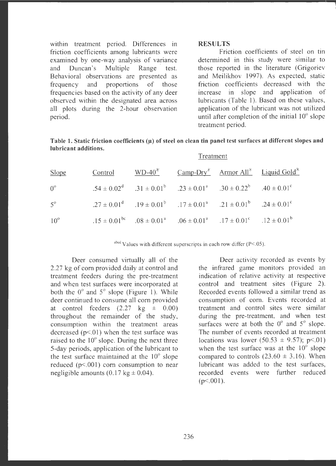within treatment period. Differences in friction coefficients among lubricants were examined by one-way analysis of variance and Duncan 's Multiple Range test. Behavioral observations are presented as frequency and proportions of those frequencies based on the activity of any deer observed within the designated area across all plots during the 2-hour observation period.

#### **RESULTS**

Friction coefficients of steel on tin determined in this study were similar to those reported in the literature (Grigoriev and Meilikhov 1997). As expected, static friction coefficients decreased with the increase in slope and application of lubricants (Table 1). Based on these values, application of the lubricant was not utilized until after completion of the initial 10° slope treatment period.

| Table 1. Static friction coefficients $(\mu)$ of steel on clean tin panel test surfaces at different slopes and |  |
|-----------------------------------------------------------------------------------------------------------------|--|
| lubricant additions.                                                                                            |  |

|              | Treatment |  |                                                                                                 |  |                                                                                                  |  |  |  |
|--------------|-----------|--|-------------------------------------------------------------------------------------------------|--|--------------------------------------------------------------------------------------------------|--|--|--|
| <b>Slope</b> |           |  |                                                                                                 |  | Control WD-40 <sup>®</sup> Camp-Dry <sup>®</sup> Armor All <sup>®</sup> Liquid Gold <sup>®</sup> |  |  |  |
| $0^{\circ}$  |           |  | $.54 \pm 0.02^d$ $.31 \pm 0.01^b$ $.23 \pm 0.01^a$ $.30 \pm 0.22^b$ $.40 \pm 0.01^c$            |  |                                                                                                  |  |  |  |
| $5^{\circ}$  |           |  | $.27 \pm 0.01^d$ $.19 \pm 0.01^b$ $.17 \pm 0.01^a$ $.21 \pm 0.01^b$ $.24 \pm 0.01^c$            |  |                                                                                                  |  |  |  |
| $10^{\circ}$ |           |  | $.15 \pm 0.01^{bc}$ $.08 \pm 0.01^{a}$ $.06 \pm 0.01^{a}$ $.17 \pm 0.01^{c}$ $.12 \pm 0.01^{b}$ |  |                                                                                                  |  |  |  |

abed Values with different superscripts in each row differ ( $P < .05$ ).

Deer consumed virtually all of the 2.27 kg of com provided daily at control and treatment feeders during the pre-treatment and when test surfaces were incorporated at both the  $0^{\circ}$  and  $5^{\circ}$  slope (Figure 1). While deer continued to consume all corn provided at control feeders  $(2.27 \text{ kg } \pm 0.00)$ throughout the remainder of the study, consumption within the treatment areas decreased  $(p<01)$  when the test surface was raised to the 10° slope. During the next three 5-day periods , application of the lubricant to the test surface maintained at the 10° slope reduced ( $p<.001$ ) corn consumption to near negligible amounts  $(0.17 \text{ kg} \pm 0.04)$ .

Deer activity recorded as events by the infrared game monitors provided an indication of relative activity at respective control and treatment sites (Figure 2). Recorded events followed a similar trend as consumption of com. Events recorded at treatment and control sites were similar during the pre-treatment, and when test surfaces were at both the  $0^{\circ}$  and  $5^{\circ}$  slope. The number of events recorded at treatment locations was lower (50.53  $\pm$  9.57); p<.01) when the test surface was at the  $10^{\circ}$  slope compared to controls  $(23.60 \pm 3.16)$ . When lubricant was added to the test surfaces, recorded events were further reduced  $(p<.001)$ .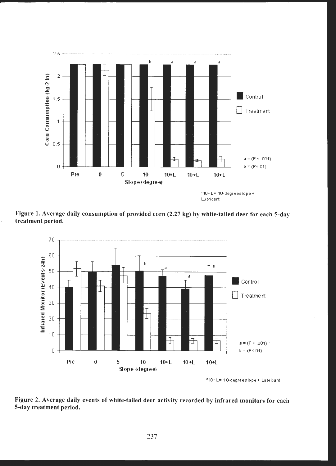

**Figure l. Average daily consumption of provided corn (2.27 kg) by white-tailed deer for each 5-day treatment period.** 



' ·10+ L= 1 (I.degrees lope+ Lubricant

**Figure 2. Average daily events of white-tailed deer activity recorded by infrared monitors for each 5-day treatment period.**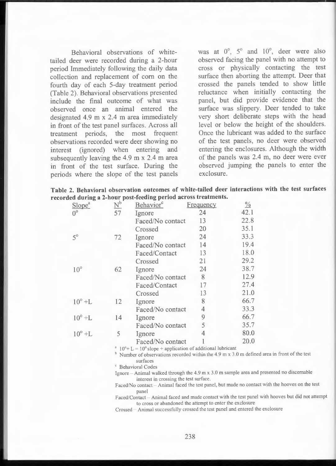Behavioral observations of whitetailed deer were recorded during a 2-hour period Immediately following the daily data collection and replacement of corn on the fourth day of each 5-day treatment period (Table 2). Behavioral observations presented include the final outcome of what was observed once an animal entered the designated 4.9 m x 2.4 m area immediately in front of the test panel surfaces. Across all treatment periods, the most frequent observations recorded were deer showing no interest (ignored) when entering and subsequently leaving the 4.9 m x 2.4 m area in front of the test surface. During the periods where the slope of the test panels was at  $0^\circ$ ,  $5^\circ$  and  $10^\circ$ , deer were also observed facing the panel with no attempt to cross or physically contacting the test surface then aborting the attempt. Deer that crossed the panels tended to show little reluctance when initially contacting the panel, but did provide evidence that the surface was slippery. Deer tended to take very short deliberate steps with the head level or below the height of the shoulders. Once the lubricant was added to the surface of the test panels, no deer were observed entering the enclosures. Although the width of the panels was 2.4 m, no deer were ever observed jumping the panels to enter the exclosure.

|  |  |                                                                 | Table 2. Behavioral observation outcomes of white-tailed deer interactions with the test surfaces |  |  |
|--|--|-----------------------------------------------------------------|---------------------------------------------------------------------------------------------------|--|--|
|  |  | recorded during a 2-hour post-feeding period across treatments. |                                                                                                   |  |  |

| Slope <sup>a</sup> | $\overline{\mathsf{N}}^\mathsf{b}$ | Behavior <sup>c</sup> | Frequency      | $\frac{0}{0}$ |
|--------------------|------------------------------------|-----------------------|----------------|---------------|
| $0^{\circ}$        | 57                                 | Ignore                | 24             | 42.1          |
|                    |                                    | Faced/No contact      | 13             | 22.8          |
|                    |                                    | Crossed               | 20             | 35.1          |
| $5^\circ$          | 72                                 | Ignore                | 24             | 33.3          |
|                    |                                    | Faced/No contact      | 14             | 19.4          |
|                    |                                    | Faced/Contact         | 13             | 18.0          |
|                    |                                    | Crossed               | 21             | 29.2          |
| $10^{\circ}$       | 62                                 | Ignore                | 24             | 38.7          |
|                    |                                    | Faced/No contact      | 8              | 12.9          |
|                    |                                    | Faced/Contact         | 17             | 27.4          |
|                    |                                    | Crossed               | 13             | 21.0          |
| $10^{\circ}$ +L    | 12                                 | Ignore                | 8              | 66.7          |
|                    |                                    | Faced/No contact      | $\overline{4}$ | 33.3          |
| $10^{\circ}$ +L    | 14                                 | Ignore                | 9              | 66.7          |
|                    |                                    | Faced/No contact      | 5              | 35.7          |
| $10^{\circ}$ +L    | $\overline{5}$                     | Ignore                | 4              | 80.0          |
|                    |                                    | Faced/No contact      |                | 20.0          |

<sup>a</sup>  $10^{\circ}$ + L =  $10^{\circ}$  slope + application of additional lubricant

 $b$  Number of observations recorded within the 4.9 m x 3.0 m defined area in front of the test surfaces

<sup>c</sup> Behavioral Codes

Ignore  $-$  Animal walked through the 4.9 m x 3.0 m sample area and presented no discernable interest in crossing the test surface.

Faced/No contact - Animal faced the test panel, but made no contact with the hooves on the test panel

Faced/Contact - Animal faced and made contact with the test panel with hooves but did not attempt to cross or abandoned the attempt to enter the exclosure

Crossed - Animal successfully crossed the test panel and entered the exclosure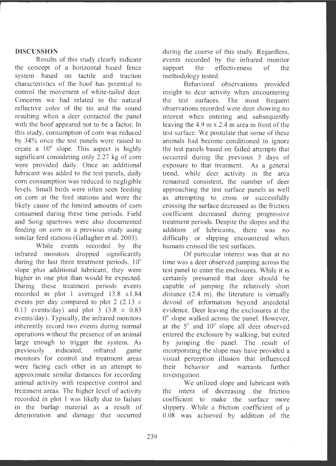## **DISCUSSION**

Results of this study clearly indicate the concept of a horizontal based fence system based on tactile and traction characteristics of the hoof has potential to control the movement of white-tailed deer. Concerns we had related to the natural reflective color of the tin and the sound resulting when a deer contacted the panel with the hoof appeared not to be a factor. In this study, consumption of corn was reduced by 34% once the test panels were raised to create a 10° slope. This aspect is highly significant considering only 2.27 kg of corn were provided daily. Once an additional lubricant was added to the test panels, daily com consumption was reduced to negligible levels. Small birds were often seen feeding on com at the feed stations and were the likely cause of the limited amounts of com consumed during these time periods. Field and Song sparrows were also documented feeding on com in a previous study using similar feed stations (Gallagher et al. 2003).

While events recorded by the infrared monitors dropped significantly during the last three treatment periods,  $10^{\circ}$ slope plus additional lubricant, they were higher in one plot than would be expected. During these treatment periods events recorded in plot 1 averaged 13.8 ±1.84 events per day compared to plot 2 (2.13  $\pm$ 0.13 events/day) and plot  $3 \left(3.8 \pm 0.83\right)$ events/day). Typically, the infrared monitors inherently record two events during normal operations without the presence of an animal large enough to trigger the system. As previously indicated, infrared game monitors for control and treatment areas were facing each other in an attempt to approximate similar distances for recording animal activity with respective control and treatment areas. The higher level of activity recorded in plot 1 was likely due to failure in the burlap material as a result of deterioration and damage that occurred during the course of this study. Regardless, events recorded by the infrared monitor support the effectiveness of the methodology tested.

Behavioral observations provided insight to deer activity when encountering the test surfaces. The most frequent observations recorded were deer showing no interest when entering and subsequently leaving the 4.9 m x 2.4 m area in front of the test surface. We postulate that some of these animals had become conditioned to ignore the test panels based on failed attempts that occurred during the previous 3 days of exposure to that treatment. As a general trend, while deer activity in the area remained consistent, the number of deer approaching the test surface panels as well as attempting to cross or successfully crossing the surface decreased as the friction coefficient decreased during progressive treatment periods. Despite the slopes and the addition of lubricants, there was no difficulty or slipping encountered when humans crossed the test surfaces.

Of particular interest was that at no time was a deer observed jumping across the test panel to enter the enclosures. While it is certainly presumed that deer should be capable of jumping the relatively short distance  $(2.4 \text{ m})$ , the literature is virtually devoid of information beyond anecdotal evidence. Deer leaving the exclosures at the  $0^{\circ}$  slope walked across the panel. However, at the 5° and 10° slope all deer observed entered the exclosure by walking, but exited by jumping the panel. The result of incorporating the slope may have provided a visual perception illusion that influenced their behavior and warrants further investigation.

We utilized slope and lubricant with the intent of decreasing the friction coefficient to make the surface more slippery. While a friction coefficient of  $\mu$ 0.08 was achieved by addition of the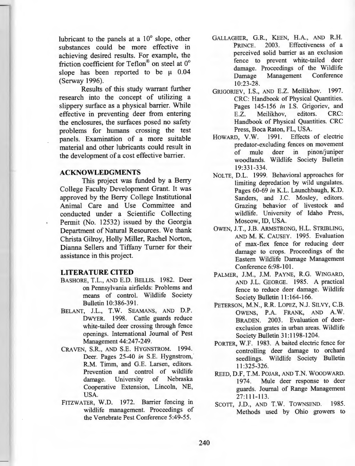lubricant to the panels at a  $10^{\circ}$  slope, other substances could be more effective in achieving desired results. For example, the friction coefficient for Teflon® on steel at 0° slope has been reported to be  $\mu$  0.04 (Serway 1996).

Results of this study warrant further research into the concept of utilizing a slippery surface as a physical barrier. While effective in preventing deer from entering the enclosures, the surfaces posed no safety problems for humans crossing the test panels. Examination of a more suitable material and other lubricants could result in the development of a cost effective barrier.

### **ACKNOWLEDGMENTS**

This project was funded by a Berry College Faculty Development Grant. It was approved by the Berry College Institutional Animal Care and Use Committee and conducted under a Scientific Collecting Permit (No. 12532) issued by the Georgia Department of Natural Resources. We thank Christa Gilroy, Holly Miller, Rachel Norton, Dianna Sellers and Tiffany Turner for their assistance in this project.

#### **LITERATURE CITED**

- BASHORE, T.L., AND E.D. BELLIS. 1982. Deer on Pennsylvania airfields: Problems and means of control. Wildlife Society Bulletin 10:386-391.
- BELANT, J.L., **T.W.** SEAMANS, AND **D.P.**  DWYER. 1998. Cattle guards reduce white-tailed deer crossing through fence openings. International Journal of Pest Management 44:247-249.
- CRAVEN, **S.R.,** AND S.E. HYGNSTROM. 1994. Deer. Pages 25-40 *in* S.E. Hygnstrom, **R.M.** Timm, and G.E. Larsen, editors. Prevention and control of wildlife damage. University of Nebraska Cooperative Extension, Lincoln, NE, USA.
- FITZWATER, **W.D.** 1972. Barrier fencing in wildlife management. Proceedings of the Vertebrate Pest Conference 5:49-55.
- **GALLAGHER, G.R., KEEN, H.A., AND R.H.**  PRINCE. 2003. Effectiveness of a perceived solid barrier as an exclusion fence to prevent white-tailed deer damage. Proceedings of the Wildlife Damage Management Conference 10:23-28.
- GRIGORIEV, I.S., AND E.Z. Meilikhov. 1997. CRC: Handbook of Physical Quantities. Pages 145-156 *in* I.S. Grigoriev, and E.Z. Meilikhov, editors. CRC: Handbook of Physical Quantities. CRC Press, Boca Raton, FL, USA.
- HOWARD, **V.W.** 1991. Effects of electric predator-excluding fences on movement of mule deer in pinon/juniper woodlands. Wildlife Society Bulletin 19:331-334.
- NOLTE, D.L. 1999. Behavioral approaches for limiting depredation by wild ungulates. Pages 60-69 *in* K.L. Launchbaugh, K.D. Sanders, and J.C. Mosley, editors. Grazing behavior of livestock and wildlife. University of Idaho Press, Moscow, ID, USA.
- OWEN, J.T., J.B. ARMSTRONG, H.L. STRIBLING, AND M. K. CAUSEY. 1995. Evaluation of max-flex fence for reducing deer damage to crops. Proceedings of the Eastern Wildlife Damage Management Conference 6:98-101.
- PALMER, J.M., J.M. PAYNE, R.G. WINGARD, AND J.L. GEORGE. 1985. A practical fence to reduce deer damage. Wildlife Society Bulletin 11:164-166.
- PETERSON, M.N., R.R. LOPEZ, N.J. SILVY, C.B. OWENS, P.A. FRANK, AND A.W. BRADEN. 2003. Evaluation of deerexclusion grates in urban areas. Wildlife Society Bulletin 31: 1198-1204.
- PORTER, **W.F.** 1983. A baited electric fence for controlling deer damage to orchard seedlings. Wildlife Society Bulletin 11 :325-326.
- REED, D.F, T.M. POJAR, AND T.N. WOODWARD. 1974. Mule deer response to deer guards. Journal of Range Management 27:111-113.
- SCOTT, J.D., AND T.W. TOWNSEND. 1985. Methods used by Ohio growers to